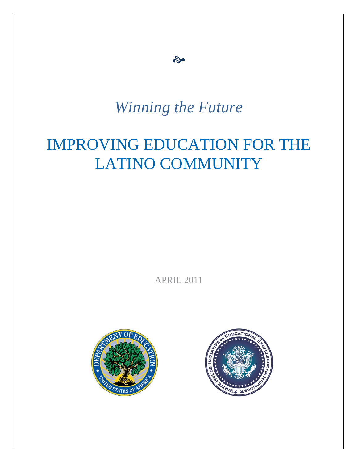# *Winning the Future*

# IMPROVING EDUCATION FOR THE LATINO COMMUNITY

APRIL 2011



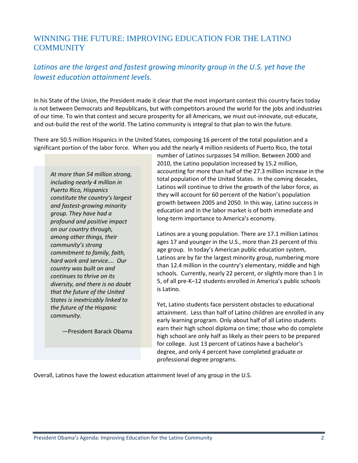# WINNING THE FUTURE: IMPROVING EDUCATION FOR THE LATINO **COMMUNITY**

# *Latinos are the largest and fastest growing minority group in the U.S. yet have the lowest education attainment levels.*

In his State of the Union, the President made it clear that the most important contest this country faces today is not between Democrats and Republicans, but with competitors around the world for the jobs and industries of our time. To win that contest and secure prosperity for all Americans, we must out-innovate, out-educate, and out-build the rest of the world. The Latino community is integral to that plan to win the future.

There are 50.5 million Hispanics in the United States, composing 16 percent of the total population and a significant portion of the labor force. When you add the nearly 4 million residents of Puerto Rico, the total

*At more than 54 million strong, including nearly 4 million in Puerto Rico, Hispanics constitute the country's largest and fastest-growing minority group. They have had a profound and positive impact on our country through, among other things, their community's strong commitment to family, faith, hard work and service…. Our country was built on and continues to thrive on its diversity, and there is no doubt that the future of the United States is inextricably linked to the future of the Hispanic community.*

—President Barack Obama

number of Latinos surpasses 54 million. Between 2000 and 2010, the Latino population increased by 15.2 million, accounting for more than half of the 27.3 million increase in the total population of the United States. In the coming decades, Latinos will continue to drive the growth of the labor force, as they will account for 60 percent of the Nation's population growth between 2005 and 2050. In this way, Latino success in education and in the labor market is of both immediate and long-term importance to America's economy.

Latinos are a young population. There are 17.1 million Latinos ages 17 and younger in the U.S., more than 23 percent of this age group. In today's American public education system, Latinos are by far the largest minority group, numbering more than 12.4 million in the country's elementary, middle and high schools. Currently, nearly 22 percent, or slightly more than 1 in 5, of all pre-K–12 students enrolled in America's public schools is Latino.

Yet, Latino students face persistent obstacles to educational attainment. Less than half of Latino children are enrolled in any early learning program. Only about half of all Latino students earn their high school diploma on time; those who do complete high school are only half as likely as their peers to be prepared for college. Just 13 percent of Latinos have a bachelor's degree, and only 4 percent have completed graduate or professional degree programs.

Overall, Latinos have the lowest education attainment level of any group in the U.S.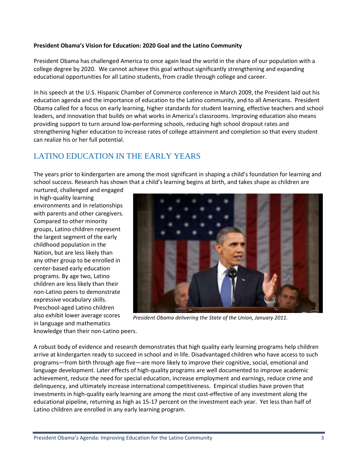#### **President Obama's Vision for Education: 2020 Goal and the Latino Community**

President Obama has challenged America to once again lead the world in the share of our population with a college degree by 2020. We cannot achieve this goal without significantly strengthening and expanding educational opportunities for all Latino students, from cradle through college and career.

In his speech at the U.S. Hispanic Chamber of Commerce conference in March 2009, the President laid out his education agenda and the importance of education to the Latino community, and to all Americans. President Obama called for a focus on early learning, higher standards for student learning, effective teachers and school leaders, and innovation that builds on what works in America's classrooms. Improving education also means providing support to turn around low-performing schools, reducing high school dropout rates and strengthening higher education to increase rates of college attainment and completion so that every student can realize his or her full potential.

# LATINO EDUCATION IN THE EARLY YEARS

The years prior to kindergarten are among the most significant in shaping a child's foundation for learning and school success. Research has shown that a child's learning begins at birth, and takes shape as children are

nurtured, challenged and engaged in high-quality learning environments and in relationships with parents and other caregivers. Compared to other minority groups, Latino children represent the largest segment of the early childhood population in the Nation, but are less likely than any other group to be enrolled in center-based early education programs. By age two, Latino children are less likely than their non-Latino peers to demonstrate expressive vocabulary skills. Preschool-aged Latino children also exhibit lower average scores in language and mathematics



*President Obama delivering the State of the Union, January 2011.*

knowledge than their non-Latino peers.

A robust body of evidence and research demonstrates that high quality early learning programs help children arrive at kindergarten ready to succeed in school and in life. Disadvantaged children who have access to such programs—from birth through age five—are more likely to improve their cognitive, social, emotional and language development. Later effects of high-quality programs are well documented to improve academic achievement, reduce the need for special education, increase employment and earnings, reduce crime and delinquency, and ultimately increase international competitiveness. Empirical studies have proven that investments in high-quality early learning are among the most cost-effective of any investment along the educational pipeline, returning as high as 15-17 percent on the investment each year. Yet less than half of Latino children are enrolled in any early learning program.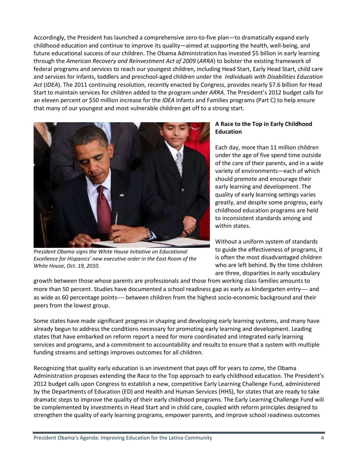Accordingly, the President has launched a comprehensive zero-to-five plan—to dramatically expand early childhood education and continue to improve its quality—aimed at supporting the health, well-being, and future educational success of our children. The Obama Administration has invested \$5 billion in early learning through the *American Recovery and Reinvestment Act of 2009* (*ARRA*) to bolster the existing framework of federal programs and services to reach our youngest children, including Head Start, Early Head Start, child care and services for infants, toddlers and preschool-aged children under the *Individuals with Disabilities Education Act* (*IDEA*). The 2011 continuing resolution, recently enacted by Congress, provides nearly \$7.6 billion for Head Start to maintain services for children added to the program under *ARRA*. The President's 2012 budget calls for an eleven percent or \$50 million increase for the *IDEA* Infants and Families programs (Part C) to help ensure that many of our youngest and most vulnerable children get off to a strong start.



*President Obama signs the White House Initiative on Educational Excellence for Hispanics' new executive order in the East Room of the White House, Oct. 19, 2010.*

#### **A Race to the Top in Early Childhood Education**

Each day, more than 11 million children under the age of five spend time outside of the care of their parents, and in a wide variety of environments—each of which should promote and encourage their early learning and development. The quality of early learning settings varies greatly, and despite some progress, early childhood education programs are held to inconsistent standards among and within states.

Without a uniform system of standards to guide the effectiveness of programs, it is often the most disadvantaged children who are left behind. By the time children are three, disparities in early vocabulary

growth between those whose parents are professionals and those from working class families amounts to more than 50 percent. Studies have documented a school readiness gap as early as kindergarten entry— and as wide as 60 percentage points— between children from the highest socio-economic background and their peers from the lowest group.

Some states have made significant progress in shaping and developing early learning systems, and many have already begun to address the conditions necessary for promoting early learning and development. Leading states that have embarked on reform report a need for more coordinated and integrated early learning services and programs, and a commitment to accountability and results to ensure that a system with multiple funding streams and settings improves outcomes for all children.

Recognizing that quality early education is an investment that pays off for years to come, the Obama Administration proposes extending the Race to the Top approach to early childhood education. The President's 2012 budget calls upon Congress to establish a new, competitive Early Learning Challenge Fund, administered by the Departments of Education (ED) and Health and Human Services (HHS), for states that are ready to take dramatic steps to improve the quality of their early childhood programs. The Early Learning Challenge Fund will be complemented by investments in Head Start and in child care, coupled with reform principles designed to strengthen the quality of early learning programs, empower parents, and improve school readiness outcomes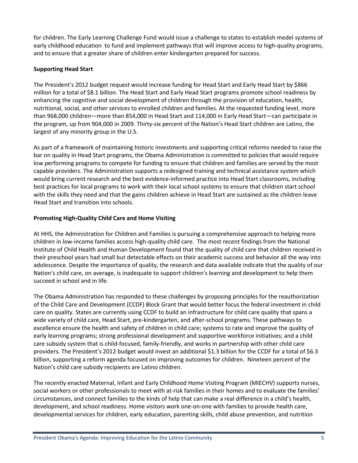for children. The Early Learning Challenge Fund would issue a challenge to states to establish model systems of early childhood education to fund and implement pathways that will improve access to high-quality programs, and to ensure that a greater share of children enter kindergarten prepared for success.

#### **Supporting Head Start**

The President's 2012 budget request would increase funding for Head Start and Early Head Start by \$866 million for a total of \$8.1 billion. The Head Start and Early Head Start programs promote school readiness by enhancing the cognitive and social development of children through the provision of education, health, nutritional, social, and other services to enrolled children and families. At the requested funding level, more than 968,000 children—more than 854,000 in Head Start and 114,000 in Early Head Start—can participate in the program, up from 904,000 in 2009. Thirty-six percent of the Nation's Head Start children are Latino, the largest of any minority group in the U.S.

As part of a framework of maintaining historic investments and supporting critical reforms needed to raise the bar on quality in Head Start programs, the Obama Administration is committed to policies that would require low performing programs to compete for funding to ensure that children and families are served by the most capable providers. The Administration supports a redesigned training and technical assistance system which would bring current research and the best evidence-informed practice into Head Start classrooms, including best practices for local programs to work with their local school systems to ensure that children start school with the skills they need and that the gains children achieve in Head Start are sustained as the children leave Head Start and transition into schools.

#### **Promoting High-Quality Child Care and Home Visiting**

At HHS, the Administration for Children and Families is pursuing a comprehensive approach to helping more children in low-income families access high-quality child care. The most recent findings from the National Institute of Child Health and Human Development found that the quality of child care that children received in their preschool years had small but detectable effects on their academic success and behavior all the way into adolescence. Despite the importance of quality, the research and data available indicate that the quality of our Nation's child care, on average, is inadequate to support children's learning and development to help them succeed in school and in life.

The Obama Administration has responded to these challenges by proposing principles for the reauthorization of the Child Care and Development (CCDF) Block Grant that would better focus the federal investment in child care on quality. States are currently using CCDF to build an infrastructure for child care quality that spans a wide variety of child care, Head Start, pre-kindergarten, and after-school programs. These pathways to excellence ensure the health and safety of children in child care; systems to rate and improve the quality of early learning programs; strong professional development and supportive workforce initiatives; and a child care subsidy system that is child-focused, family-friendly, and works in partnership with other child care providers. The President's 2012 budget would invest an additional \$1.3 billion for the CCDF for a total of \$6.3 billion, supporting a reform agenda focused on improving outcomes for children. Nineteen percent of the Nation's child care subsidy recipients are Latino children.

The recently enacted Maternal, Infant and Early Childhood Home Visiting Program (MIECHV) supports nurses, social workers or other professionals to meet with at-risk families in their homes and to evaluate the families' circumstances, and connect families to the kinds of help that can make a real difference in a child's health, development, and school readiness. Home visitors work one-on-one with families to provide health care, developmental services for children, early education, parenting skills, child abuse prevention, and nutrition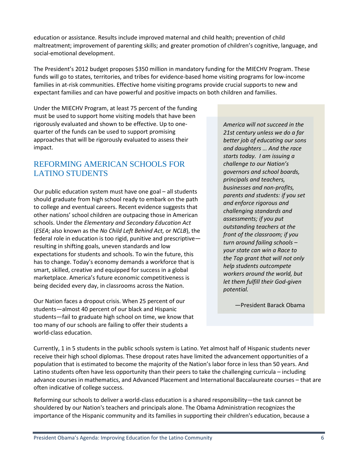education or assistance. Results include improved maternal and child health; prevention of child maltreatment; improvement of parenting skills; and greater promotion of children's cognitive, language, and social-emotional development.

The President's 2012 budget proposes \$350 million in mandatory funding for the MIECHV Program. These funds will go to states, territories, and tribes for evidence-based home visiting programs for low-income families in at-risk communities. Effective home visiting programs provide crucial supports to new and expectant families and can have powerful and positive impacts on both children and families.

Under the MIECHV Program, at least 75 percent of the funding must be used to support home visiting models that have been rigorously evaluated and shown to be effective. Up to onequarter of the funds can be used to support promising approaches that will be rigorously evaluated to assess their impact.

## REFORMING AMERICAN SCHOOLS FOR LATINO STUDENTS

Our public education system must have one goal – all students should graduate from high school ready to embark on the path to college and eventual careers. Recent evidence suggests that other nations' school children are outpacing those in American schools. Under the *Elementary and Secondary Education Act* (*ESEA*; also known as the *No Child Left Behind Act,* or *NCLB*), the federal role in education is too rigid, punitive and prescriptive resulting in shifting goals, uneven standards and low expectations for students and schools. To win the future, this has to change. Today's economy demands a workforce that is smart, skilled, creative and equipped for success in a global marketplace. America's future economic competitiveness is being decided every day, in classrooms across the Nation.

Our Nation faces a dropout crisis. When 25 percent of our students—almost 40 percent of our black and Hispanic students—fail to graduate high school on time, we know that too many of our schools are failing to offer their students a world-class education.

*America will not succeed in the 21st century unless we do a far better job of educating our sons and daughters … And the race starts today. I am issuing a challenge to our Nation's governors and school boards, principals and teachers, businesses and non-profits, parents and students: if you set and enforce rigorous and challenging standards and assessments; if you put outstanding teachers at the front of the classroom; if you turn around failing schools – your state can win a Race to the Top grant that will not only help students outcompete workers around the world, but let them fulfill their God-given potential.*

—President Barack Obama

Currently, 1 in 5 students in the public schools system is Latino. Yet almost half of Hispanic students never receive their high school diplomas. These dropout rates have limited the advancement opportunities of a population that is estimated to become the majority of the Nation's labor force in less than 50 years. And Latino students often have less opportunity than their peers to take the challenging curricula – including advance courses in mathematics, and Advanced Placement and International Baccalaureate courses – that are often indicative of college success.

Reforming our schools to deliver a world-class education is a shared responsibility—the task cannot be shouldered by our Nation's teachers and principals alone. The Obama Administration recognizes the importance of the Hispanic community and its families in supporting their children's education, because a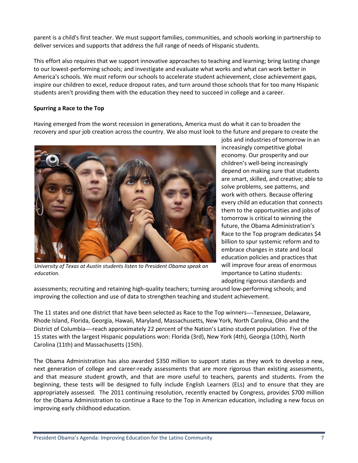parent is a child's first teacher. We must support families, communities, and schools working in partnership to deliver services and supports that address the full range of needs of Hispanic students.

This effort also requires that we support innovative approaches to teaching and learning; bring lasting change to our lowest-performing schools; and investigate and evaluate what works and what can work better in America's schools. We must reform our schools to accelerate student achievement, close achievement gaps, inspire our children to excel, reduce dropout rates, and turn around those schools that for too many Hispanic students aren't providing them with the education they need to succeed in college and a career.

#### **Spurring a Race to the Top**

Having emerged from the worst recession in generations, America must do what it can to broaden the recovery and spur job creation across the country. We also must look to the future and prepare to create the



*University of Texas at Austin students listen to President Obama speak on education.*

jobs and industries of tomorrow in an increasingly competitive global economy. Our prosperity and our children's well-being increasingly depend on making sure that students are smart, skilled, and creative; able to solve problems, see patterns, and work with others. Because offering every child an education that connects them to the opportunities and jobs of tomorrow is critical to winning the future, the Obama Administration's Race to the Top program dedicates \$4 billion to spur systemic reform and to embrace changes in state and local education policies and practices that will improve four areas of enormous importance to Latino students: adopting rigorous standards and

assessments; recruiting and retaining high-quality teachers; turning around low-performing schools; and improving the collection and use of data to strengthen teaching and student achievement.

The 11 states and one district that have been selected as Race to the Top winners—Tennessee, Delaware, Rhode Island, Florida, Georgia, Hawaii, Maryland, Massachusetts, New York, North Carolina, Ohio and the District of Columbia—reach approximately 22 percent of the Nation's Latino student population. Five of the 15 states with the largest Hispanic populations won: Florida (3rd), New York (4th), Georgia (10th), North Carolina (11th) and Massachusetts (15th).

The Obama Administration has also awarded \$350 million to support states as they work to develop a new, next generation of college and career-ready assessments that are more rigorous than existing assessments, and that measure student growth, and that are more useful to teachers, parents and students. From the beginning, these tests will be designed to fully include English Learners (ELs) and to ensure that they are appropriately assessed. The 2011 continuing resolution, recently enacted by Congress, provides \$700 million for the Obama Administration to continue a Race to the Top in American education, including a new focus on improving early childhood education.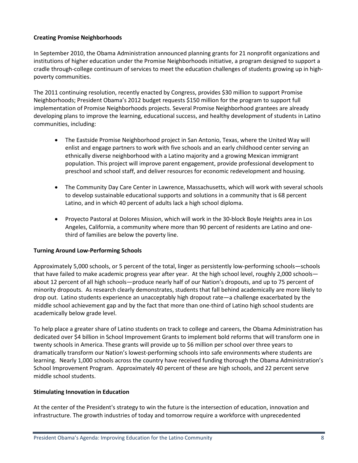#### **Creating Promise Neighborhoods**

In September 2010, the Obama Administration announced planning grants for 21 nonprofit organizations and institutions of higher education under the Promise Neighborhoods initiative, a program designed to support a cradle through-college continuum of services to meet the education challenges of students growing up in highpoverty communities.

The 2011 continuing resolution, recently enacted by Congress, provides \$30 million to support Promise Neighborhoods; President Obama's 2012 budget requests \$150 million for the program to support full implementation of Promise Neighborhoods projects. Several Promise Neighborhood grantees are already developing plans to improve the learning, educational success, and healthy development of students in Latino communities, including:

- The Eastside Promise Neighborhood project in San Antonio, Texas, where the United Way will enlist and engage partners to work with five schools and an early childhood center serving an ethnically diverse neighborhood with a Latino majority and a growing Mexican immigrant population. This project will improve parent engagement, provide professional development to preschool and school staff, and deliver resources for economic redevelopment and housing.
- The Community Day Care Center in Lawrence, Massachusetts, which will work with several schools to develop sustainable educational supports and solutions in a community that is 68 percent Latino, and in which 40 percent of adults lack a high school diploma.
- Proyecto Pastoral at Dolores Mission, which will work in the 30-block Boyle Heights area in Los Angeles, California, a community where more than 90 percent of residents are Latino and onethird of families are below the poverty line.

#### **Turning Around Low-Performing Schools**

Approximately 5,000 schools, or 5 percent of the total, linger as persistently low-performing schools—schools that have failed to make academic progress year after year. At the high school level, roughly 2,000 schools about 12 percent of all high schools—produce nearly half of our Nation's dropouts, and up to 75 percent of minority dropouts. As research clearly demonstrates, students that fall behind academically are more likely to drop out. Latino students experience an unacceptably high dropout rate—a challenge exacerbated by the middle school achievement gap and by the fact that more than one-third of Latino high school students are academically below grade level.

To help place a greater share of Latino students on track to college and careers, the Obama Administration has dedicated over \$4 billion in School Improvement Grants to implement bold reforms that will transform one in twenty schools in America. These grants will provide up to \$6 million per school over three years to dramatically transform our Nation's lowest-performing schools into safe environments where students are learning. Nearly 1,000 schools across the country have received funding thorough the Obama Administration's School Improvement Program. Approximately 40 percent of these are high schools, and 22 percent serve middle school students.

#### **Stimulating Innovation in Education**

At the center of the President's strategy to win the future is the intersection of education, innovation and infrastructure. The growth industries of today and tomorrow require a workforce with unprecedented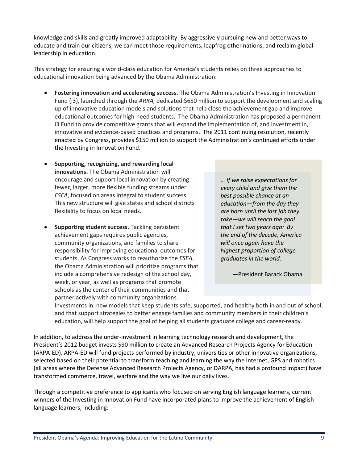knowledge and skills and greatly improved adaptability. By aggressively pursuing new and better ways to educate and train our citizens, we can meet those requirements, leapfrog other nations, and reclaim global leadership in education.

This strategy for ensuring a world-class education for America's students relies on three approaches to educational innovation being advanced by the Obama Administration:

- **Fostering innovation and accelerating success.** The Obama Administration's Investing in Innovation Fund (i3), launched through the *ARRA,* dedicated \$650 million to support the development and scaling up of innovative education models and solutions that help close the achievement gap and improve educational outcomes for high-need students. The Obama Administration has proposed a permanent i3 Fund to provide competitive grants that will expand the implementation of, and investment in, innovative and evidence-based practices and programs. The 2011 continuing resolution, recently enacted by Congress, provides \$150 million to support the Administration's continued efforts under the Investing in Innovation Fund.
- **Supporting, recognizing, and rewarding local innovations.** The Obama Administration will encourage and support local innovation by creating fewer, larger, more flexible funding streams under *ESEA*, focused on areas integral to student success. This new structure will give states and school districts flexibility to focus on local needs.
- **Supporting student success.** Tackling persistent achievement gaps requires public agencies, community organizations, and families to share responsibility for improving educational outcomes for students. As Congress works to reauthorize the *ESEA*, the Obama Administration will prioritize programs that include a comprehensive redesign of the school day, week, or year, as well as programs that promote schools as the center of their communities and that partner actively with community organizations.

*… If we raise expectations for every child and give them the best possible chance at an education—from the day they are born until the last job they take—we will reach the goal that I set two years ago: By the end of the decade, America will once again have the highest proportion of college graduates in the world.*

—President Barack Obama

Investments in new models that keep students safe, supported, and healthy both in and out of school, and that support strategies to better engage families and community members in their children's education, will help support the goal of helping all students graduate college and career-ready.

In addition, to address the under-investment in learning technology research and development, the President's 2012 budget invests \$90 million to create an Advanced Research Projects Agency for Education (ARPA-ED). ARPA-ED will fund projects performed by industry, universities or other innovative organizations, selected based on their potential to transform teaching and learning the way the Internet, GPS and robotics (all areas where the Defense Advanced Research Projects Agency, or DARPA, has had a profound impact) have transformed commerce, travel, warfare and the way we live our daily lives.

Through a competitive preference to applicants who focused on serving English language learners, current winners of the Investing in Innovation Fund have incorporated plans to improve the achievement of English language learners, including: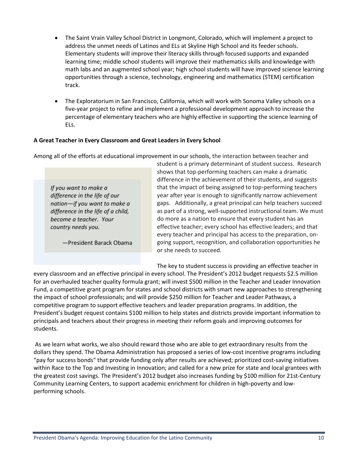- The Saint Vrain Valley School District in Longmont, Colorado, which will implement a project to address the unmet needs of Latinos and ELs at Skyline High School and its feeder schools. Elementary students will improve their literacy skills through focused supports and expanded learning time; middle school students will improve their mathematics skills and knowledge with math labs and an augmented school year; high school students will have improved science learning opportunities through a science, technology, engineering and mathematics (STEM) certification track.
- The Exploratorium in San Francisco, California, which will work with Sonoma Valley schools on a five-year project to refine and implement a professional development approach to increase the percentage of elementary teachers who are highly effective in supporting the science learning of ELs.

#### **A Great Teacher in Every Classroom and Great Leaders in Every School**

Among all of the efforts at educational improvement in our schools, the interaction between teacher and

*If you want to make a difference in the life of our nation—if you want to make a difference in the life of a child, become a teacher. Your country needs you.*

—President Barack Obama

student is a primary determinant of student success. Research shows that top-performing teachers can make a dramatic difference in the achievement of their students, and suggests that the impact of being assigned to top-performing teachers year after year is enough to significantly narrow achievement gaps. Additionally, a great principal can help teachers succeed as part of a strong, well-supported instructional team. We must do more as a nation to ensure that every student has an effective teacher; every school has effective leaders; and that every teacher and principal has access to the preparation, ongoing support, recognition, and collaboration opportunities he or she needs to succeed.

The key to student success is providing an effective teacher in

every classroom and an effective principal in every school. The President's 2012 budget requests \$2.5 million for an overhauled teacher quality formula grant; will invest \$500 million in the Teacher and Leader Innovation Fund, a competitive grant program for states and school districts with smart new approaches to strengthening the impact of school professionals; and will provide \$250 million for Teacher and Leader Pathways, a competitive program to support effective teachers and leader preparation programs. In addition, the President's budget request contains \$100 million to help states and districts provide important information to principals and teachers about their progress in meeting their reform goals and improving outcomes for students.

As we learn what works, we also should reward those who are able to get extraordinary results from the dollars they spend. The Obama Administration has proposed a series of low-cost incentive programs including "pay for success bonds" that provide funding only after results are achieved; prioritized cost-saving initiatives within Race to the Top and Investing in Innovation; and called for a new prize for state and local grantees with the greatest cost savings. The President's 2012 budget also increases funding by \$100 million for 21st-Century Community Learning Centers, to support academic enrichment for children in high-poverty and lowperforming schools.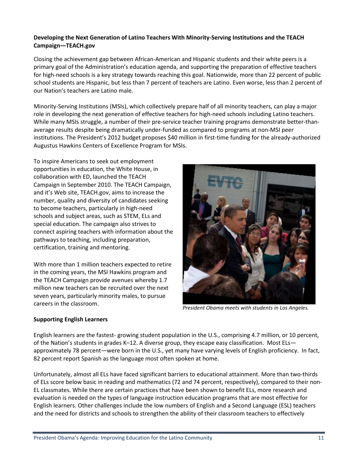#### **Developing the Next Generation of Latino Teachers With Minority-Serving Institutions and the TEACH Campaign—TEACH.gov**

Closing the achievement gap between African-American and Hispanic students and their white peers is a primary goal of the Administration's education agenda, and supporting the preparation of effective teachers for high-need schools is a key strategy towards reaching this goal. Nationwide, more than 22 percent of public school students are Hispanic, but less than 7 percent of teachers are Latino. Even worse, less than 2 percent of our Nation's teachers are Latino male.

Minority-Serving Institutions (MSIs), which collectively prepare half of all minority teachers, can play a major role in developing the next generation of effective teachers for high-need schools including Latino teachers. While many MSIs struggle, a number of their pre-service teacher training programs demonstrate better-thanaverage results despite being dramatically under-funded as compared to programs at non-MSI peer institutions. The President's 2012 budget proposes \$40 million in first-time funding for the already-authorized Augustus Hawkins Centers of Excellence Program for MSIs.

To inspire Americans to seek out employment opportunities in education, the White House, in collaboration with ED, launched the TEACH Campaign in September 2010. The TEACH Campaign, and it's Web site, TEACH.gov, aims to increase the number, quality and diversity of candidates seeking to become teachers, particularly in high-need schools and subject areas, such as STEM, ELs and special education. The campaign also strives to connect aspiring teachers with information about the pathways to teaching, including preparation, certification, training and mentoring.

With more than 1 million teachers expected to retire in the coming years, the MSI Hawkins program and the TEACH Campaign provide avenues whereby 1.7 million new teachers can be recruited over the next seven years, particularly minority males, to pursue careers in the classroom.



*President Obama meets with students in Los Angeles.*

#### **Supporting English Learners**

English learners are the fastest- growing student population in the U.S., comprising 4.7 million, or 10 percent, of the Nation's students in grades K–12. A diverse group, they escape easy classification. Most ELs approximately 78 percent—were born in the U.S., yet many have varying levels of English proficiency. In fact, 82 percent report Spanish as the language most often spoken at home.

Unfortunately, almost all ELs have faced significant barriers to educational attainment. More than two-thirds of ELs score below basic in reading and mathematics (72 and 74 percent, respectively), compared to their non-EL classmates. While there are certain practices that have been shown to benefit ELs, more research and evaluation is needed on the types of language instruction education programs that are most effective for English learners. Other challenges include the low numbers of English and a Second Language (ESL) teachers and the need for districts and schools to strengthen the ability of their classroom teachers to effectively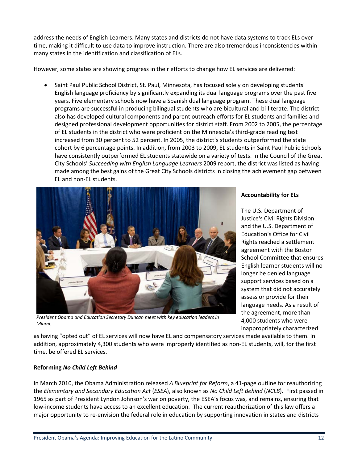address the needs of English Learners. Many states and districts do not have data systems to track ELs over time, making it difficult to use data to improve instruction. There are also tremendous inconsistencies within many states in the identification and classification of ELs.

However, some states are showing progress in their efforts to change how EL services are delivered:

• Saint Paul Public School District, St. Paul, Minnesota, has focused solely on developing students' English language proficiency by significantly expanding its dual language programs over the past five years. Five elementary schools now have a Spanish dual language program. These dual language programs are successful in producing bilingual students who are bicultural and bi-literate. The district also has developed cultural components and parent outreach efforts for EL students and families and designed professional development opportunities for district staff. From 2002 to 2005, the percentage of EL students in the district who were proficient on the Minnesota's third-grade reading test increased from 30 percent to 52 percent. In 2005, the district's students outperformed the state cohort by 6 percentage points. In addition, from 2003 to 2009, EL students in Saint Paul Public Schools have consistently outperformed EL students statewide on a variety of tests. In the Council of the Great City Schools' *Succeeding with English Language Learners* 2009 report, the district was listed as having made among the best gains of the Great City Schools districts in closing the achievement gap between EL and non-EL students.



*President Obama and Education Secretary Duncan meet with key education leaders in Miami.*

#### **Accountability for ELs**

The U.S. Department of Justice's Civil Rights Division and the U.S. Department of Education's Office for Civil Rights reached a settlement agreement with the Boston School Committee that ensures English learner students will no longer be denied language support services based on a system that did not accurately assess or provide for their language needs. As a result of the agreement, more than 4,000 students who were inappropriately characterized

as having "opted out" of EL services will now have EL and compensatory services made available to them. In addition, approximately 4,300 students who were improperly identified as non-EL students, will, for the first time, be offered EL services.

#### **Reforming** *No Child Left Behind*

In March 2010, the Obama Administration released *A Blueprint for Reform*, a 41-page outline for reauthorizing the *Elementary and Secondary Education Act* (*ESEA*), also known as *No Child Left Behind* (*NCLB*). First passed in 1965 as part of President Lyndon Johnson's war on poverty, the ESEA's focus was, and remains, ensuring that low-income students have access to an excellent education. The current reauthorization of this law offers a major opportunity to re-envision the federal role in education by supporting innovation in states and districts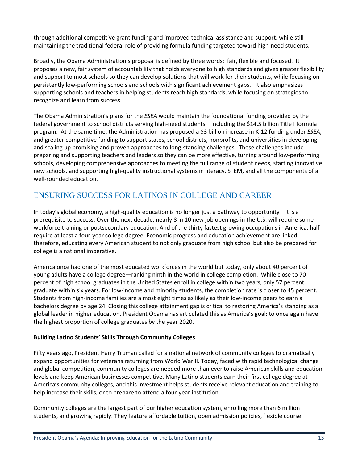through additional competitive grant funding and improved technical assistance and support, while still maintaining the traditional federal role of providing formula funding targeted toward high-need students.

Broadly, the Obama Administration's proposal is defined by three words: fair, flexible and focused. It proposes a new, fair system of accountability that holds everyone to high standards and gives greater flexibility and support to most schools so they can develop solutions that will work for their students, while focusing on persistently low-performing schools and schools with significant achievement gaps. It also emphasizes supporting schools and teachers in helping students reach high standards, while focusing on strategies to recognize and learn from success.

The Obama Administration's plans for the *ESEA* would maintain the foundational funding provided by the federal government to school districts serving high-need students – including the \$14.5 billion Title I formula program. At the same time, the Administration has proposed a \$3 billion increase in K-12 funding under *ESEA*, and greater competitive funding to support states, school districts, nonprofits, and universities in developing and scaling up promising and proven approaches to long-standing challenges. These challenges include preparing and supporting teachers and leaders so they can be more effective, turning around low-performing schools, developing comprehensive approaches to meeting the full range of student needs, starting innovative new schools, and supporting high-quality instructional systems in literacy, STEM, and all the components of a well-rounded education.

# ENSURING SUCCESS FOR LATINOS IN COLLEGE AND CAREER

In today's global economy, a high-quality education is no longer just a pathway to opportunity—it is a prerequisite to success. Over the next decade, nearly 8 in 10 new job openings in the U.S. will require some workforce training or postsecondary education. And of the thirty fastest growing occupations in America, half require at least a four-year college degree. Economic progress and education achievement are linked; therefore, educating every American student to not only graduate from high school but also be prepared for college is a national imperative.

America once had one of the most educated workforces in the world but today, only about 40 percent of young adults have a college degree—ranking ninth in the world in college completion. While close to 70 percent of high school graduates in the United States enroll in college within two years, only 57 percent graduate within six years. For low-income and minority students, the completion rate is closer to 45 percent. Students from high-income families are almost eight times as likely as their low-income peers to earn a bachelors degree by age 24. Closing this college attainment gap is critical to restoring America's standing as a global leader in higher education. President Obama has articulated this as America's goal: to once again have the highest proportion of college graduates by the year 2020.

#### **Building Latino Students' Skills Through Community Colleges**

Fifty years ago, President Harry Truman called for a national network of community colleges to dramatically expand opportunities for veterans returning from World War II. Today, faced with rapid technological change and global competition, community colleges are needed more than ever to raise American skills and education levels and keep American businesses competitive. Many Latino students earn their first college degree at America's community colleges, and this investment helps students receive relevant education and training to help increase their skills, or to prepare to attend a four-year institution.

Community colleges are the largest part of our higher education system, enrolling more than 6 million students, and growing rapidly. They feature affordable tuition, open admission policies, flexible course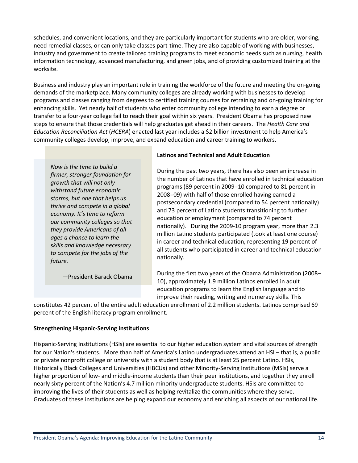schedules, and convenient locations, and they are particularly important for students who are older, working, need remedial classes, or can only take classes part-time. They are also capable of working with businesses, industry and government to create tailored training programs to meet economic needs such as nursing, health information technology, advanced manufacturing, and green jobs, and of providing customized training at the worksite.

Business and industry play an important role in training the workforce of the future and meeting the on-going demands of the marketplace. Many community colleges are already working with businesses to develop programs and classes ranging from degrees to certified training courses for retraining and on-going training for enhancing skills. Yet nearly half of students who enter community college intending to earn a degree or transfer to a four-year college fail to reach their goal within six years. President Obama has proposed new steps to ensure that those credentials will help graduates get ahead in their careers. The *Health Care and Education Reconciliation Act* (*HCERA*) enacted last year includes a \$2 billion investment to help America's community colleges develop, improve, and expand education and career training to workers.

*Now is the time to build a firmer, stronger foundation for growth that will not only withstand future economic storms, but one that helps us thrive and compete in a global economy. It's time to reform our community colleges so that they provide Americans of all ages a chance to learn the skills and knowledge necessary to compete for the jobs of the future.* 

—President Barack Obama

#### **Latinos and Technical and Adult Education**

During the past two years, there has also been an increase in the number of Latinos that have enrolled in technical education programs (89 percent in 2009–10 compared to 81 percent in 2008–09) with half of those enrolled having earned a postsecondary credential (compared to 54 percent nationally) and 73 percent of Latino students transitioning to further education or employment (compared to 74 percent nationally). During the 2009-10 program year, more than 2.3 million Latino students participated (took at least one course) in career and technical education, representing 19 percent of all students who participated in career and technical education nationally.

During the first two years of the Obama Administration (2008– 10), approximately 1.9 million Latinos enrolled in adult education programs to learn the English language and to improve their reading, writing and numeracy skills. This

constitutes 42 percent of the entire adult education enrollment of 2.2 million students. Latinos comprised 69 percent of the English literacy program enrollment.

#### **Strengthening Hispanic-Serving Institutions**

Hispanic-Serving Institutions (HSIs) are essential to our higher education system and vital sources of strength for our Nation's students. More than half of America's Latino undergraduates attend an HSI – that is, a public or private nonprofit college or university with a student body that is at least 25 percent Latino. HSIs, Historically Black Colleges and Universities (HBCUs) and other Minority-Serving Institutions (MSIs) serve a higher proportion of low- and middle-income students than their peer institutions, and together they enroll nearly sixty percent of the Nation's 4.7 million minority undergraduate students. HSIs are committed to improving the lives of their students as well as helping revitalize the communities where they serve. Graduates of these institutions are helping expand our economy and enriching all aspects of our national life.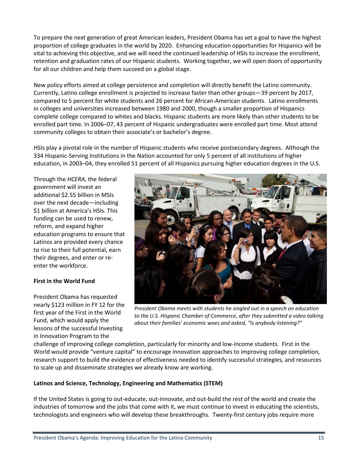To prepare the next generation of great American leaders, President Obama has set a goal to have the highest proportion of college graduates in the world by 2020. Enhancing education opportunities for Hispanics will be vital to achieving this objective, and we will need the continued leadership of HSIs to increase the enrollment, retention and graduation rates of our Hispanic students. Working together, we will open doors of opportunity for all our children and help them succeed on a global stage.

New policy efforts aimed at college persistence and completion will directly benefit the Latino community. Currently, Latino college enrollment is projected to increase faster than other groups—39 percent by 2017, compared to 5 percent for white students and 26 percent for African-American students. Latino enrollments in colleges and universities increased between 1980 and 2000, though a smaller proportion of Hispanics complete college compared to whites and blacks. Hispanic students are more likely than other students to be enrolled part time. In 2006–07, 43 percent of Hispanic undergraduates were enrolled part time. Most attend community colleges to obtain their associate's or bachelor's degree.

HSIs play a pivotal role in the number of Hispanic students who receive postsecondary degrees. Although the 334 Hispanic-Serving Institutions in the Nation accounted for only 5 percent of all institutions of higher education, in 2003–04, they enrolled 51 percent of all Hispanics pursuing higher education degrees in the U.S.

Through the *HCERA*, the federal government will invest an additional \$2.55 billion in MSIs over the next decade—including \$1 billion at America's HSIs. This funding can be used to renew, reform, and expand higher education programs to ensure that Latinos are provided every chance to rise to their full potential, earn their degrees, and enter or reenter the workforce.

#### **First in the World Fund**

President Obama has requested nearly \$123 million in FY 12 for the first year of the First in the World Fund, which would apply the lessons of the successful Investing in Innovation Program to the



*President Obama meets with students he singled out in a speech on education to the U.S. Hispanic Chamber of Commerce, after they submitted a video talking about their families' economic woes and asked, "Is anybody listening?"*

challenge of improving college completion, particularly for minority and low-income students. First in the World would provide "venture capital" to encourage innovation approaches to improving college completion, research support to build the evidence of effectiveness needed to identify successful strategies, and resources to scale up and disseminate strategies we already know are working.

#### **Latinos and Science, Technology, Engineering and Mathematics (STEM)**

If the United States is going to out-educate, out-innovate, and out-build the rest of the world and create the industries of tomorrow and the jobs that come with it, we must continue to invest in educating the scientists, technologists and engineers who will develop these breakthroughs. Twenty-first century jobs require more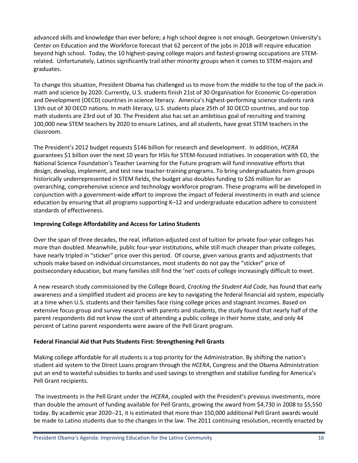advanced skills and knowledge than ever before; a high school degree is not enough. Georgetown University's Center on Education and the Workforce forecast that 62 percent of the jobs in 2018 will require education beyond high school. Today, the 10 highest-paying college majors and fastest-growing occupations are STEMrelated. Unfortunately, Latinos significantly trail other minority groups when it comes to STEM-majors and graduates.

To change this situation, President Obama has challenged us to move from the middle to the top of the pack in math and science by 2020. Currently, U.S. students finish 21st of 30 Organisation for Economic Co-operation and Development (OECD) countries in science literacy. America's highest-performing science students rank 13th out of 30 OECD nations. In math literacy, U.S. students place 25th of 30 OECD countries, and our top math students are 23rd out of 30. The President also has set an ambitious goal of recruiting and training 100,000 new STEM teachers by 2020 to ensure Latinos, and all students, have great STEM teachers in the classroom.

The President's 2012 budget requests \$146 billion for research and development. In addition, *HCERA* guarantees \$1 billion over the next 10 years for HSIs for STEM-focused initiatives. In cooperation with ED, the National Science Foundation's Teacher Learning for the Future program will fund innovative efforts that design, develop, implement, and test new teacher-training programs. To bring undergraduates from groups historically underrepresented in STEM fields, the budget also doubles funding to \$26 million for an overarching, comprehensive science and technology workforce program. These programs will be developed in conjunction with a government-wide effort to improve the impact of federal investments in math and science education by ensuring that all programs supporting K–12 and undergraduate education adhere to consistent standards of effectiveness.

#### **Improving College Affordability and Access for Latino Students**

Over the span of three decades, the real, inflation-adjusted cost of tuition for private four-year colleges has more than doubled. Meanwhile, public four-year institutions, while still much cheaper than private colleges, have nearly tripled in "sticker" price over this period. Of course, given various grants and adjustments that schools make based on individual circumstances, most students do not pay the "sticker" price of postsecondary education, but many families still find the 'net' costs of college increasingly difficult to meet.

A new research study commissioned by the College Board, *Cracking the Student Aid Code,* has found that early awareness and a simplified student aid process are key to navigating the federal financial aid system, especially at a time when U.S. students and their families face rising college prices and stagnant incomes. Based on extensive focus-group and survey research with parents and students, the study found that nearly half of the parent respondents did not know the cost of attending a public college in their home state, and only 44 percent of Latino parent respondents were aware of the Pell Grant program.

#### **Federal Financial Aid that Puts Students First: Strengthening Pell Grants**

Making college affordable for all students is a top priority for the Administration. By shifting the nation's student aid system to the Direct Loans program through the *HCERA*, Congress and the Obama Administration put an end to wasteful subsidies to banks and used savings to strengthen and stabilize funding for America's Pell Grant recipients.

The investments in the Pell Grant under the *HCERA*, coupled with the President's previous investments, more than double the amount of funding available for Pell Grants, growing the award from \$4,730 in 2008 to \$5,550 today. By academic year 2020–21, it is estimated that more than 150,000 additional Pell Grant awards would be made to Latino students due to the changes in the law. The 2011 continuing resolution, recently enacted by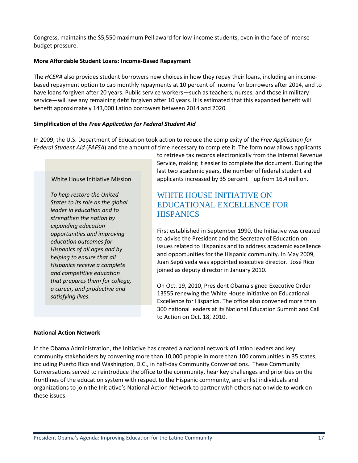Congress, maintains the \$5,550 maximum Pell award for low-income students, even in the face of intense budget pressure.

#### **More Affordable Student Loans: Income-Based Repayment**

The *HCERA* also provides student borrowers new choices in how they repay their loans, including an incomebased repayment option to cap monthly repayments at 10 percent of income for borrowers after 2014, and to have loans forgiven after 20 years. Public service workers—such as teachers, nurses, and those in military service—will see any remaining debt forgiven after 10 years. It is estimated that this expanded benefit will benefit approximately 143,000 Latino borrowers between 2014 and 2020.

#### **Simplification of the** *Free Application for Federal Student Aid*

In 2009, the U.S. Department of Education took action to reduce the complexity of the *Free Application for Federal Student Aid* (*FAFSA*) and the amount of time necessary to complete it. The form now allows applicants

White House Initiative Mission

*To help restore the United States to its role as the global leader in education and to strengthen the nation by expanding education opportunities and improving education outcomes for Hispanics of all ages and by helping to ensure that all Hispanics receive a complete and competitive education that prepares them for college, a career, and productive and satisfying lives.*

to retrieve tax records electronically from the Internal Revenue Service, making it easier to complete the document. During the last two academic years, the number of federal student aid applicants increased by 35 percent—up from 16.4 million.

# WHITE HOUSE INITIATIVE ON EDUCATIONAL EXCELLENCE FOR **HISPANICS**

First established in September 1990, the Initiative was created to advise the President and the Secretary of Education on issues related to Hispanics and to address academic excellence and opportunities for the Hispanic community. In May 2009, Juan Sepúlveda was appointed executive director. José Rico joined as deputy director in January 2010.

On Oct. 19, 2010, President Obama signed Executive Order 13555 renewing the White House Initiative on Educational Excellence for Hispanics. The office also convened more than 300 national leaders at its National Education Summit and Call to Action on Oct. 18, 2010.

#### **National Action Network**

In the Obama Administration, the Initiative has created a national network of Latino leaders and key community stakeholders by convening more than 10,000 people in more than 100 communities in 35 states, including Puerto Rico and Washington, D.C., in half-day Community Conversations. These Community Conversations served to reintroduce the office to the community, hear key challenges and priorities on the frontlines of the education system with respect to the Hispanic community, and enlist individuals and organizations to join the Initiative's National Action Network to partner with others nationwide to work on these issues.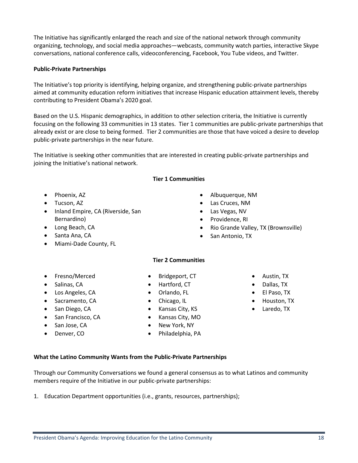The Initiative is seeking other communities that are interested in creating public-private partnerships and

The Initiative has significantly enlarged the reach and size of the national network through community

conversations, national conference calls, videoconferencing, Facebook, You Tube videos, and Twitter.

The Initiative's top priority is identifying, helping organize, and strengthening public-private partnerships aimed at community education reform initiatives that increase Hispanic education attainment levels, thereby

Based on the U.S. Hispanic demographics, in addition to other selection criteria, the Initiative is currently focusing on the following 33 communities in 13 states. Tier 1 communities are public-private partnerships that already exist or are close to being formed. Tier 2 communities are those that have voiced a desire to develop

organizing, technology, and social media approaches—webcasts, community watch parties, interactive Skype

joining the Initiative's national network.

#### **Tier 1 Communities**

• Phoenix, AZ

**Public-Private Partnerships**

- Tucson, AZ
- Inland Empire, CA (Riverside, San Bernardino)

contributing to President Obama's 2020 goal.

public-private partnerships in the near future.

- Long Beach, CA
- Santa Ana, CA
- Miami-Dade County, FL
- Fresno/Merced
- Salinas, CA
- Los Angeles, CA
- Sacramento, CA
- San Diego, CA
- San Francisco, CA
- San Jose, CA
- Denver, CO

• Bridgeport, CT

**Tier 2 Communities**

- Hartford, CT
- Orlando, FL
- Chicago, IL
- Kansas City, KS
- Kansas City, MO
- New York, NY
- Philadelphia, PA
- Austin, TX
- Dallas, TX
- El Paso, TX
- Houston, TX
- Laredo, TX
- **What the Latino Community Wants from the Public-Private Partnerships**

Through our Community Conversations we found a general consensus as to what Latinos and community members require of the Initiative in our public-private partnerships:

1. Education Department opportunities (i.e., grants, resources, partnerships);

• Rio Grande Valley, TX (Brownsville)

• Albuquerque, NM Las Cruces, NM • Las Vegas, NV • Providence, RI

San Antonio, TX

- -
	-
- 
-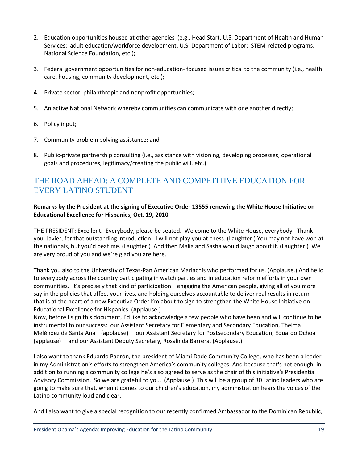- 2. Education opportunities housed at other agencies (e.g., Head Start, U.S. Department of Health and Human Services; adult education/workforce development, U.S. Department of Labor; STEM-related programs, National Science Foundation, etc.);
- 3. Federal government opportunities for non-education- focused issues critical to the community (i.e., health care, housing, community development, etc.);
- 4. Private sector, philanthropic and nonprofit opportunities;
- 5. An active National Network whereby communities can communicate with one another directly;
- 6. Policy input;
- 7. Community problem-solving assistance; and
- 8. Public-private partnership consulting (i.e., assistance with visioning, developing processes, operational goals and procedures, legitimacy/creating the public will, etc.).

# THE ROAD AHEAD: A COMPLETE AND COMPETITIVE EDUCATION FOR EVERY LATINO STUDENT

#### **Remarks by the President at the signing of Executive Order 13555 renewing the White House Initiative on Educational Excellence for Hispanics, Oct. 19, 2010**

THE PRESIDENT: Excellent. Everybody, please be seated. Welcome to the White House, everybody. Thank you, Javier, for that outstanding introduction. I will not play you at chess. (Laughter.) You may not have won at the nationals, but you'd beat me. (Laughter.) And then Malia and Sasha would laugh about it. (Laughter.) We are very proud of you and we're glad you are here.

Thank you also to the University of Texas-Pan American Mariachis who performed for us. (Applause.) And hello to everybody across the country participating in watch parties and in education reform efforts in your own communities. It's precisely that kind of participation—engaging the American people, giving all of you more say in the policies that affect your lives, and holding ourselves accountable to deliver real results in return that is at the heart of a new Executive Order I'm about to sign to strengthen the White House Initiative on Educational Excellence for Hispanics. (Applause.)

Now, before I sign this document, I'd like to acknowledge a few people who have been and will continue to be instrumental to our success: our Assistant Secretary for Elementary and Secondary Education, Thelma Meléndez de Santa Ana—(applause) —our Assistant Secretary for Postsecondary Education, Eduardo Ochoa— (applause) —and our Assistant Deputy Secretary, Rosalinda Barrera. (Applause.)

I also want to thank Eduardo Padrón, the president of Miami Dade Community College, who has been a leader in my Administration's efforts to strengthen America's community colleges. And because that's not enough, in addition to running a community college he's also agreed to serve as the chair of this initiative's Presidential Advisory Commission. So we are grateful to you. (Applause.) This will be a group of 30 Latino leaders who are going to make sure that, when it comes to our children's education, my administration hears the voices of the Latino community loud and clear.

And I also want to give a special recognition to our recently confirmed Ambassador to the Dominican Republic,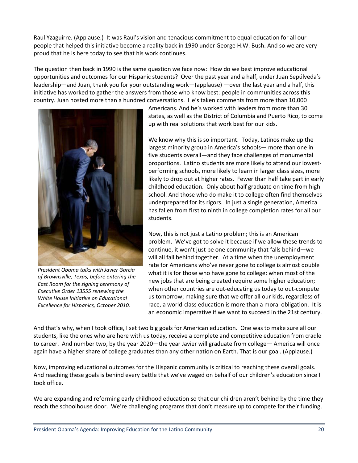Raul Yzaguirre. (Applause.) It was Raul's vision and tenacious commitment to equal education for all our people that helped this initiative become a reality back in 1990 under George H.W. Bush. And so we are very proud that he is here today to see that his work continues.

The question then back in 1990 is the same question we face now: How do we best improve educational opportunities and outcomes for our Hispanic students? Over the past year and a half, under Juan Sepúlveda's leadership—and Juan, thank you for your outstanding work—(applause) —over the last year and a half, this initiative has worked to gather the answers from those who know best: people in communities across this country. Juan hosted more than a hundred conversations. He's taken comments from more than 10,000



*President Obama talks with Javier Garcia of Brownsville, Texas, before entering the East Room for the signing ceremony of Executive Order 13555 renewing the White House Initiative on Educational Excellence for Hispanics, October 2010.*

Americans. And he's worked with leaders from more than 30 states, as well as the District of Columbia and Puerto Rico, to come up with real solutions that work best for our kids.

We know why this is so important. Today, Latinos make up the largest minority group in America's schools— more than one in five students overall—and they face challenges of monumental proportions. Latino students are more likely to attend our lowestperforming schools, more likely to learn in larger class sizes, more likely to drop out at higher rates. Fewer than half take part in early childhood education. Only about half graduate on time from high school. And those who do make it to college often find themselves underprepared for its rigors. In just a single generation, America has fallen from first to ninth in college completion rates for all our students.

Now, this is not just a Latino problem; this is an American problem. We've got to solve it because if we allow these trends to continue, it won't just be one community that falls behind—we will all fall behind together. At a time when the unemployment rate for Americans who've never gone to college is almost double what it is for those who have gone to college; when most of the new jobs that are being created require some higher education; when other countries are out-educating us today to out-compete us tomorrow; making sure that we offer all our kids, regardless of race, a world-class education is more than a moral obligation. It is an economic imperative if we want to succeed in the 21st century.

And that's why, when I took office, I set two big goals for American education. One was to make sure all our students, like the ones who are here with us today, receive a complete and competitive education from cradle to career. And number two, by the year 2020—the year Javier will graduate from college— America will once again have a higher share of college graduates than any other nation on Earth. That is our goal. (Applause.)

Now, improving educational outcomes for the Hispanic community is critical to reaching these overall goals. And reaching these goals is behind every battle that we've waged on behalf of our children's education since I took office.

We are expanding and reforming early childhood education so that our children aren't behind by the time they reach the schoolhouse door. We're challenging programs that don't measure up to compete for their funding,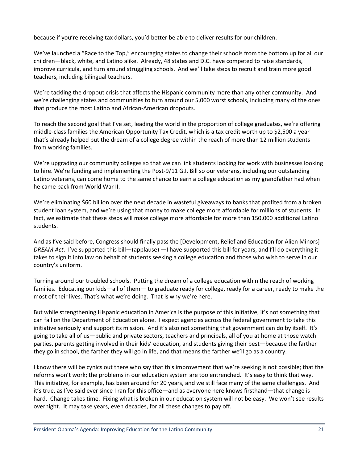because if you're receiving tax dollars, you'd better be able to deliver results for our children.

We've launched a "Race to the Top," encouraging states to change their schools from the bottom up for all our children—black, white, and Latino alike. Already, 48 states and D.C. have competed to raise standards, improve curricula, and turn around struggling schools. And we'll take steps to recruit and train more good teachers, including bilingual teachers.

We're tackling the dropout crisis that affects the Hispanic community more than any other community. And we're challenging states and communities to turn around our 5,000 worst schools, including many of the ones that produce the most Latino and African-American dropouts.

To reach the second goal that I've set, leading the world in the proportion of college graduates, we're offering middle-class families the American Opportunity Tax Credit, which is a tax credit worth up to \$2,500 a year that's already helped put the dream of a college degree within the reach of more than 12 million students from working families.

We're upgrading our community colleges so that we can link students looking for work with businesses looking to hire. We're funding and implementing the Post-9/11 G.I. Bill so our veterans, including our outstanding Latino veterans, can come home to the same chance to earn a college education as my grandfather had when he came back from World War II.

We're eliminating \$60 billion over the next decade in wasteful giveaways to banks that profited from a broken student loan system, and we're using that money to make college more affordable for millions of students. In fact, we estimate that these steps will make college more affordable for more than 150,000 additional Latino students.

And as I've said before, Congress should finally pass the [Development, Relief and Education for Alien Minors] *DREAM Act*. I've supported this bill—(applause) —I have supported this bill for years, and I'll do everything it takes to sign it into law on behalf of students seeking a college education and those who wish to serve in our country's uniform.

Turning around our troubled schools. Putting the dream of a college education within the reach of working families. Educating our kids—all of them— to graduate ready for college, ready for a career, ready to make the most of their lives. That's what we're doing. That is why we're here.

But while strengthening Hispanic education in America is the purpose of this initiative, it's not something that can fall on the Department of Education alone. I expect agencies across the federal government to take this initiative seriously and support its mission. And it's also not something that government can do by itself. It's going to take all of us—public and private sectors, teachers and principals, all of you at home at those watch parties, parents getting involved in their kids' education, and students giving their best—because the farther they go in school, the farther they will go in life, and that means the farther we'll go as a country.

I know there will be cynics out there who say that this improvement that we're seeking is not possible; that the reforms won't work; the problems in our education system are too entrenched. It's easy to think that way. This initiative, for example, has been around for 20 years, and we still face many of the same challenges. And it's true, as I've said ever since I ran for this office—and as everyone here knows firsthand—that change is hard. Change takes time. Fixing what is broken in our education system will not be easy. We won't see results overnight. It may take years, even decades, for all these changes to pay off.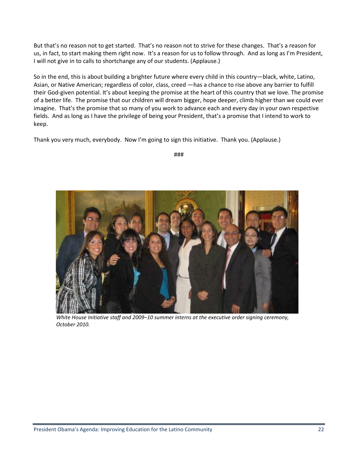But that's no reason not to get started. That's no reason not to strive for these changes. That's a reason for us, in fact, to start making them right now. It's a reason for us to follow through. And as long as I'm President, I will not give in to calls to shortchange any of our students. (Applause.)

So in the end, this is about building a brighter future where every child in this country—black, white, Latino, Asian, or Native American; regardless of color, class, creed —has a chance to rise above any barrier to fulfill their God-given potential. It's about keeping the promise at the heart of this country that we love. The promise of a better life. The promise that our children will dream bigger, hope deeper, climb higher than we could ever imagine. That's the promise that so many of you work to advance each and every day in your own respective fields. And as long as I have the privilege of being your President, that's a promise that I intend to work to keep.

Thank you very much, everybody. Now I'm going to sign this initiative. Thank you. (Applause.)

###



*White House Initiative staff and 2009–10 summer interns at the executive order signing ceremony, October 2010.*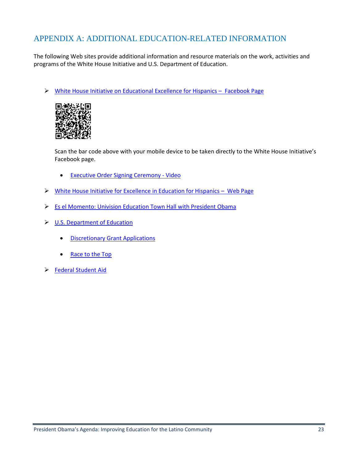# APPENDIX A: ADDITIONAL EDUCATION-RELATED INFORMATION

The following Web sites provide additional information and resource materials on the work, activities and programs of the White House Initiative and U.S. Department of Education.

 $\triangleright$  [White House Initiative on Educational Excellence for Hispanics – Facebook Page](http://www.facebook.com/W.H.I.onEducationExcellenceforHispanics)



Scan the bar code above with your mobile device to be taken directly to the White House Initiative's Facebook page.

- [Executive Order Signing Ceremony -](http://www.whitehouse.gov/photos-and-video/video/2010/10/19/educational-excellence-hispanic-americans) Video
- [White House Initiative for Excellence in Education for Hispanics Web Page](http://www2.ed.gov/about/inits/list/hispanic-initiative/index.html)
- [Es el Momento: Univision Education Town Hall with President Obama](http://vidayfamilia.univision.com/es-el-momento/videos/video/2011-03-28/es-el-momento-foro-con-1)
- ▶ [U.S. Department of Education](http://www.ed.gov/)
	- [Discretionary Grant Applications](http://www2.ed.gov/fund/grant/apply/grantapps/index.html)
	- Race to the Top
- [Federal Student Aid](http://federalstudentaid.ed.gov/)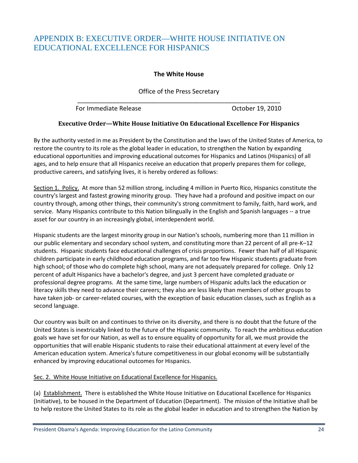# APPENDIX B: EXECUTIVE ORDER—WHITE HOUSE INITIATIVE ON EDUCATIONAL EXCELLENCE FOR HISPANICS

#### **The White House**

Office of the Press Secretary \_\_\_\_\_\_\_\_\_\_\_\_\_\_\_\_\_\_\_\_\_\_\_\_\_\_\_\_\_\_\_\_\_\_\_\_\_\_\_\_\_\_\_\_\_\_\_\_\_\_\_\_\_\_\_\_\_\_

For Immediate Release **Communist Communist Communist Communist Communist Communist Communist Communist Communist** 

### **Executive Order—White House Initiative On Educational Excellence For Hispanics**

By the authority vested in me as President by the Constitution and the laws of the United States of America, to restore the country to its role as the global leader in education, to strengthen the Nation by expanding educational opportunities and improving educational outcomes for Hispanics and Latinos (Hispanics) of all ages, and to help ensure that all Hispanics receive an education that properly prepares them for college, productive careers, and satisfying lives, it is hereby ordered as follows:

Section 1. Policy. At more than 52 million strong, including 4 million in Puerto Rico, Hispanics constitute the country's largest and fastest growing minority group. They have had a profound and positive impact on our country through, among other things, their community's strong commitment to family, faith, hard work, and service. Many Hispanics contribute to this Nation bilingually in the English and Spanish languages -- a true asset for our country in an increasingly global, interdependent world.

Hispanic students are the largest minority group in our Nation's schools, numbering more than 11 million in our public elementary and secondary school system, and constituting more than 22 percent of all pre-K–12 students. Hispanic students face educational challenges of crisis proportions. Fewer than half of all Hispanic children participate in early childhood education programs, and far too few Hispanic students graduate from high school; of those who do complete high school, many are not adequately prepared for college. Only 12 percent of adult Hispanics have a bachelor's degree, and just 3 percent have completed graduate or professional degree programs. At the same time, large numbers of Hispanic adults lack the education or literacy skills they need to advance their careers; they also are less likely than members of other groups to have taken job- or career-related courses, with the exception of basic education classes, such as English as a second language.

Our country was built on and continues to thrive on its diversity, and there is no doubt that the future of the United States is inextricably linked to the future of the Hispanic community. To reach the ambitious education goals we have set for our Nation, as well as to ensure equality of opportunity for all, we must provide the opportunities that will enable Hispanic students to raise their educational attainment at every level of the American education system. America's future competitiveness in our global economy will be substantially enhanced by improving educational outcomes for Hispanics.

#### Sec. 2. White House Initiative on Educational Excellence for Hispanics.

(a) Establishment. There is established the White House Initiative on Educational Excellence for Hispanics (Initiative), to be housed in the Department of Education (Department). The mission of the Initiative shall be to help restore the United States to its role as the global leader in education and to strengthen the Nation by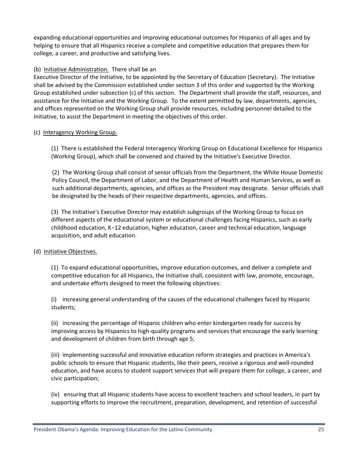expanding educational opportunities and improving educational outcomes for Hispanics of all ages and by helping to ensure that all Hispanics receive a complete and competitive education that prepares them for college, a career, and productive and satisfying lives.

#### (b) Initiative Administration. There shall be an

Executive Director of the Initiative, to be appointed by the Secretary of Education (Secretary). The Initiative shall be advised by the Commission established under section 3 of this order and supported by the Working Group established under subsection (c) of this section. The Department shall provide the staff, resources, and assistance for the Initiative and the Working Group. To the extent permitted by law, departments, agencies, and offices represented on the Working Group shall provide resources, including personnel detailed to the Initiative, to assist the Department in meeting the objectives of this order.

#### (c) Interagency Working Group.

(1) There is established the Federal Interagency Working Group on Educational Excellence for Hispanics (Working Group), which shall be convened and chaired by the Initiative's Executive Director.

(2) The Working Group shall consist of senior officials from the Department, the White House Domestic Policy Council, the Department of Labor, and the Department of Health and Human Services, as well as such additional departments, agencies, and offices as the President may designate. Senior officials shall be designated by the heads of their respective departments, agencies, and offices.

(3) The Initiative's Executive Director may establish subgroups of the Working Group to focus on different aspects of the educational system or educational challenges facing Hispanics, such as early childhood education, K−12 education, higher education, career and technical education, language acquisition, and adult education.

#### (d) Initiative Objectives.

(1) To expand educational opportunities, improve education outcomes, and deliver a complete and competitive education for all Hispanics, the Initiative shall, consistent with law, promote, encourage, and undertake efforts designed to meet the following objectives:

(i) increasing general understanding of the causes of the educational challenges faced by Hispanic students;

(ii) increasing the percentage of Hispanic children who enter kindergarten ready for success by improving access by Hispanics to high-quality programs and services that encourage the early learning and development of children from birth through age 5;

(iii) implementing successful and innovative education reform strategies and practices in America's public schools to ensure that Hispanic students, like their peers, receive a rigorous and well-rounded education, and have access to student support services that will prepare them for college, a career, and civic participation;

(iv) ensuring that all Hispanic students have access to excellent teachers and school leaders, in part by supporting efforts to improve the recruitment, preparation, development, and retention of successful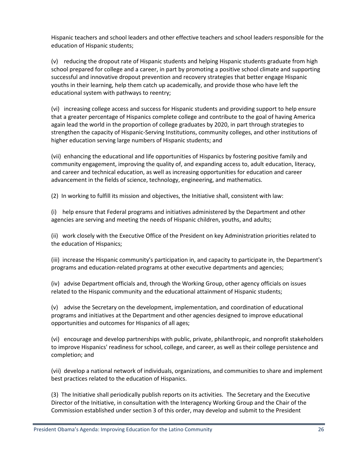Hispanic teachers and school leaders and other effective teachers and school leaders responsible for the education of Hispanic students;

(v) reducing the dropout rate of Hispanic students and helping Hispanic students graduate from high school prepared for college and a career, in part by promoting a positive school climate and supporting successful and innovative dropout prevention and recovery strategies that better engage Hispanic youths in their learning, help them catch up academically, and provide those who have left the educational system with pathways to reentry;

(vi) increasing college access and success for Hispanic students and providing support to help ensure that a greater percentage of Hispanics complete college and contribute to the goal of having America again lead the world in the proportion of college graduates by 2020, in part through strategies to strengthen the capacity of Hispanic-Serving Institutions, community colleges, and other institutions of higher education serving large numbers of Hispanic students; and

(vii) enhancing the educational and life opportunities of Hispanics by fostering positive family and community engagement, improving the quality of, and expanding access to, adult education, literacy, and career and technical education, as well as increasing opportunities for education and career advancement in the fields of science, technology, engineering, and mathematics.

(2) In working to fulfill its mission and objectives, the Initiative shall, consistent with law:

(i) help ensure that Federal programs and initiatives administered by the Department and other agencies are serving and meeting the needs of Hispanic children, youths, and adults;

(ii) work closely with the Executive Office of the President on key Administration priorities related to the education of Hispanics;

(iii) increase the Hispanic community's participation in, and capacity to participate in, the Department's programs and education-related programs at other executive departments and agencies;

(iv) advise Department officials and, through the Working Group, other agency officials on issues related to the Hispanic community and the educational attainment of Hispanic students;

(v) advise the Secretary on the development, implementation, and coordination of educational programs and initiatives at the Department and other agencies designed to improve educational opportunities and outcomes for Hispanics of all ages;

(vi) encourage and develop partnerships with public, private, philanthropic, and nonprofit stakeholders to improve Hispanics' readiness for school, college, and career, as well as their college persistence and completion; and

(vii) develop a national network of individuals, organizations, and communities to share and implement best practices related to the education of Hispanics.

(3) The Initiative shall periodically publish reports on its activities. The Secretary and the Executive Director of the Initiative, in consultation with the Interagency Working Group and the Chair of the Commission established under section 3 of this order, may develop and submit to the President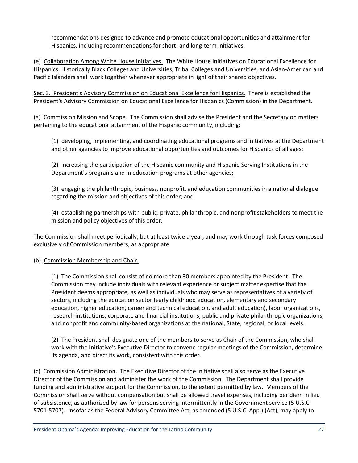recommendations designed to advance and promote educational opportunities and attainment for Hispanics, including recommendations for short- and long-term initiatives.

(e) Collaboration Among White House Initiatives. The White House Initiatives on Educational Excellence for Hispanics, Historically Black Colleges and Universities, Tribal Colleges and Universities, and Asian-American and Pacific Islanders shall work together whenever appropriate in light of their shared objectives.

Sec. 3. President's Advisory Commission on Educational Excellence for Hispanics. There is established the President's Advisory Commission on Educational Excellence for Hispanics (Commission) in the Department.

(a) Commission Mission and Scope. The Commission shall advise the President and the Secretary on matters pertaining to the educational attainment of the Hispanic community, including:

(1) developing, implementing, and coordinating educational programs and initiatives at the Department and other agencies to improve educational opportunities and outcomes for Hispanics of all ages;

(2) increasing the participation of the Hispanic community and Hispanic-Serving Institutions in the Department's programs and in education programs at other agencies;

(3) engaging the philanthropic, business, nonprofit, and education communities in a national dialogue regarding the mission and objectives of this order; and

(4) establishing partnerships with public, private, philanthropic, and nonprofit stakeholders to meet the mission and policy objectives of this order.

The Commission shall meet periodically, but at least twice a year, and may work through task forces composed exclusively of Commission members, as appropriate.

#### (b) Commission Membership and Chair.

(1) The Commission shall consist of no more than 30 members appointed by the President. The Commission may include individuals with relevant experience or subject matter expertise that the President deems appropriate, as well as individuals who may serve as representatives of a variety of sectors, including the education sector (early childhood education, elementary and secondary education, higher education, career and technical education, and adult education), labor organizations, research institutions, corporate and financial institutions, public and private philanthropic organizations, and nonprofit and community-based organizations at the national, State, regional, or local levels.

(2) The President shall designate one of the members to serve as Chair of the Commission, who shall work with the Initiative's Executive Director to convene regular meetings of the Commission, determine its agenda, and direct its work, consistent with this order.

(c) Commission Administration. The Executive Director of the Initiative shall also serve as the Executive Director of the Commission and administer the work of the Commission. The Department shall provide funding and administrative support for the Commission, to the extent permitted by law. Members of the Commission shall serve without compensation but shall be allowed travel expenses, including per diem in lieu of subsistence, as authorized by law for persons serving intermittently in the Government service (5 U.S.C. 5701-5707). Insofar as the Federal Advisory Committee Act, as amended (5 U.S.C. App.) (Act), may apply to

President Obama's Agenda: Improving Education for the Latino Community 27